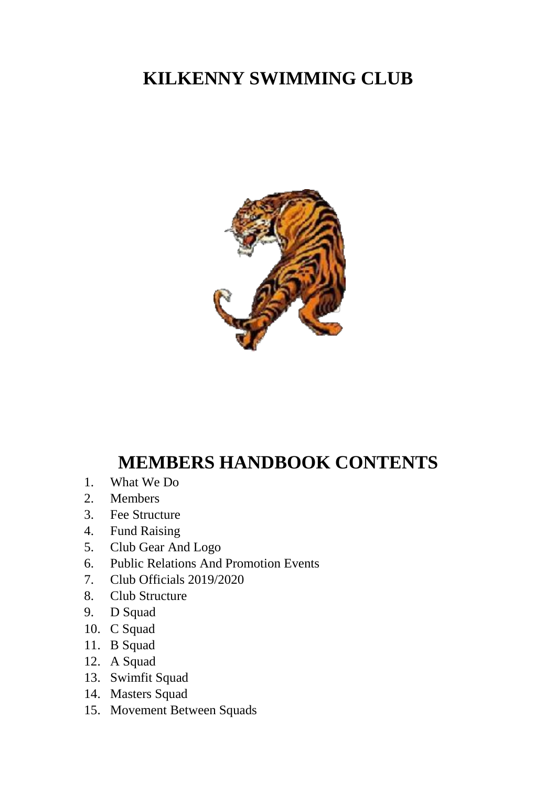# **KILKENNY SWIMMING CLUB**



# **MEMBERS HANDBOOK CONTENTS**

- 1. What We Do
- 2. Members
- 3. Fee Structure
- 4. Fund Raising
- 5. Club Gear And Logo
- 6. Public Relations And Promotion Events
- 7. Club Officials 2019/2020
- 8. Club Structure
- 9. D Squad
- 10. C Squad
- 11. B Squad
- 12. A Squad
- 13. Swimfit Squad
- 14. Masters Squad
- 15. Movement Between Squads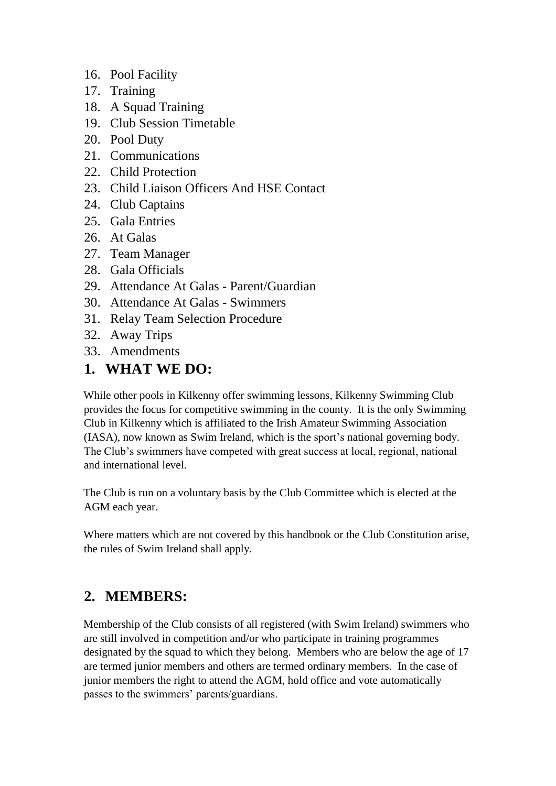- 16. Pool Facility
- 17. Training
- 18. A Squad Training
- 19. Club Session Timetable
- 20. Pool Duty
- 21. Communications
- 22. Child Protection
- 23. Child Liaison Officers And HSE Contact
- 24. Club Captains
- 25. Gala Entries
- 26. At Galas
- 27. Team Manager
- 28. Gala Officials
- 29. Attendance At Galas Parent/Guardian
- 30. Attendance At Galas Swimmers
- 31. Relay Team Selection Procedure
- 32. Away Trips
- 33. Amendments

#### **1. WHAT WE DO:**

While other pools in Kilkenny offer swimming lessons, Kilkenny Swimming Club provides the focus for competitive swimming in the county. It is the only Swimming Club in Kilkenny which is affiliated to the Irish Amateur Swimming Association (IASA), now known as Swim Ireland, which is the sport's national governing body. The Club's swimmers have competed with great success at local, regional, national and international level.

The Club is run on a voluntary basis by the Club Committee which is elected at the AGM each year.

Where matters which are not covered by this handbook or the Club Constitution arise, the rules of Swim Ireland shall apply.

### **2. MEMBERS:**

Membership of the Club consists of all registered (with Swim Ireland) swimmers who are still involved in competition and/or who participate in training programmes designated by the squad to which they belong. Members who are below the age of 17 are termed junior members and others are termed ordinary members. In the case of junior members the right to attend the AGM, hold office and vote automatically passes to the swimmers' parents/guardians.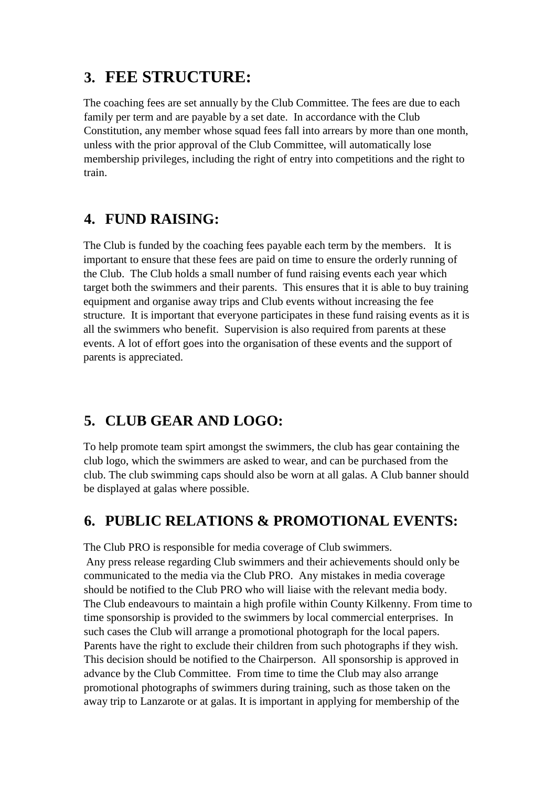## **3. FEE STRUCTURE:**

The coaching fees are set annually by the Club Committee. The fees are due to each family per term and are payable by a set date. In accordance with the Club Constitution, any member whose squad fees fall into arrears by more than one month, unless with the prior approval of the Club Committee, will automatically lose membership privileges, including the right of entry into competitions and the right to train.

### **4. FUND RAISING:**

The Club is funded by the coaching fees payable each term by the members. It is important to ensure that these fees are paid on time to ensure the orderly running of the Club. The Club holds a small number of fund raising events each year which target both the swimmers and their parents. This ensures that it is able to buy training equipment and organise away trips and Club events without increasing the fee structure. It is important that everyone participates in these fund raising events as it is all the swimmers who benefit. Supervision is also required from parents at these events. A lot of effort goes into the organisation of these events and the support of parents is appreciated.

## **5. CLUB GEAR AND LOGO:**

To help promote team spirt amongst the swimmers, the club has gear containing the club logo, which the swimmers are asked to wear, and can be purchased from the club. The club swimming caps should also be worn at all galas. A Club banner should be displayed at galas where possible.

### **6. PUBLIC RELATIONS & PROMOTIONAL EVENTS:**

The Club PRO is responsible for media coverage of Club swimmers. Any press release regarding Club swimmers and their achievements should only be communicated to the media via the Club PRO. Any mistakes in media coverage should be notified to the Club PRO who will liaise with the relevant media body. The Club endeavours to maintain a high profile within County Kilkenny. From time to time sponsorship is provided to the swimmers by local commercial enterprises. In such cases the Club will arrange a promotional photograph for the local papers. Parents have the right to exclude their children from such photographs if they wish. This decision should be notified to the Chairperson. All sponsorship is approved in advance by the Club Committee. From time to time the Club may also arrange promotional photographs of swimmers during training, such as those taken on the away trip to Lanzarote or at galas. It is important in applying for membership of the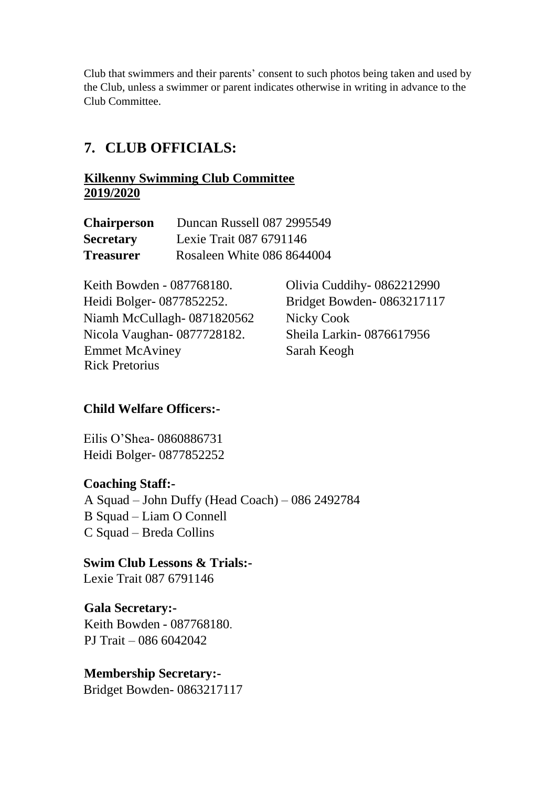Club that swimmers and their parents' consent to such photos being taken and used by the Club, unless a swimmer or parent indicates otherwise in writing in advance to the Club Committee.

### **7. CLUB OFFICIALS:**

#### **Kilkenny Swimming Club Committee 2019/2020**

| <b>Chairperson</b> | Duncan Russell 087 2995549 |
|--------------------|----------------------------|
| <b>Secretary</b>   | Lexie Trait 087 6791146    |
| <b>Treasurer</b>   | Rosaleen White 086 8644004 |

Keith Bowden - 087768180. Olivia Cuddihy- 0862212990 Heidi Bolger- 0877852252. Bridget Bowden- 0863217117 Niamh McCullagh- 0871820562 Nicky Cook Nicola Vaughan- 0877728182. Sheila Larkin- 0876617956 Emmet McAviney Sarah Keogh Rick Pretorius

#### **Child Welfare Officers:-**

Eilis O'Shea- 0860886731 Heidi Bolger- 0877852252

#### **Coaching Staff:-**

A Squad – John Duffy (Head Coach) – 086 2492784 B Squad – Liam O Connell C Squad – Breda Collins

**Swim Club Lessons & Trials:-** Lexie Trait 087 6791146

**Gala Secretary:-** Keith Bowden - 087768180. PJ Trait – 086 6042042

#### **Membership Secretary:-** Bridget Bowden- 0863217117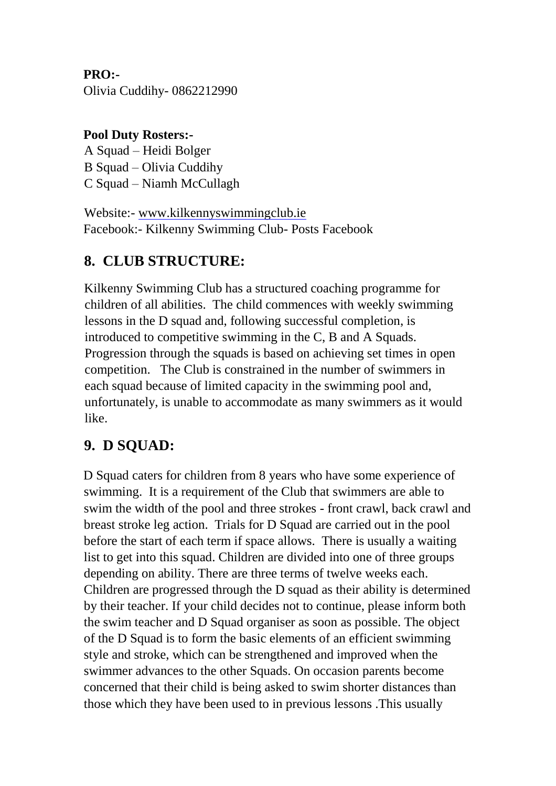**PRO:-** Olivia Cuddihy- 0862212990

#### **Pool Duty Rosters:-**

A Squad – Heidi Bolger B Squad – Olivia Cuddihy C Squad – Niamh McCullagh

Website:- [www.kilkennyswimmingclub.ie](http://www.kilkennyswimmingclub.ie/) Facebook:- Kilkenny Swimming Club- Posts Facebook

### **8. CLUB STRUCTURE:**

Kilkenny Swimming Club has a structured coaching programme for children of all abilities. The child commences with weekly swimming lessons in the D squad and, following successful completion, is introduced to competitive swimming in the C, B and A Squads. Progression through the squads is based on achieving set times in open competition. The Club is constrained in the number of swimmers in each squad because of limited capacity in the swimming pool and, unfortunately, is unable to accommodate as many swimmers as it would like.

#### **9. D SQUAD:**

D Squad caters for children from 8 years who have some experience of swimming. It is a requirement of the Club that swimmers are able to swim the width of the pool and three strokes - front crawl, back crawl and breast stroke leg action. Trials for D Squad are carried out in the pool before the start of each term if space allows. There is usually a waiting list to get into this squad. Children are divided into one of three groups depending on ability. There are three terms of twelve weeks each. Children are progressed through the D squad as their ability is determined by their teacher. If your child decides not to continue, please inform both the swim teacher and D Squad organiser as soon as possible. The object of the D Squad is to form the basic elements of an efficient swimming style and stroke, which can be strengthened and improved when the swimmer advances to the other Squads. On occasion parents become concerned that their child is being asked to swim shorter distances than those which they have been used to in previous lessons .This usually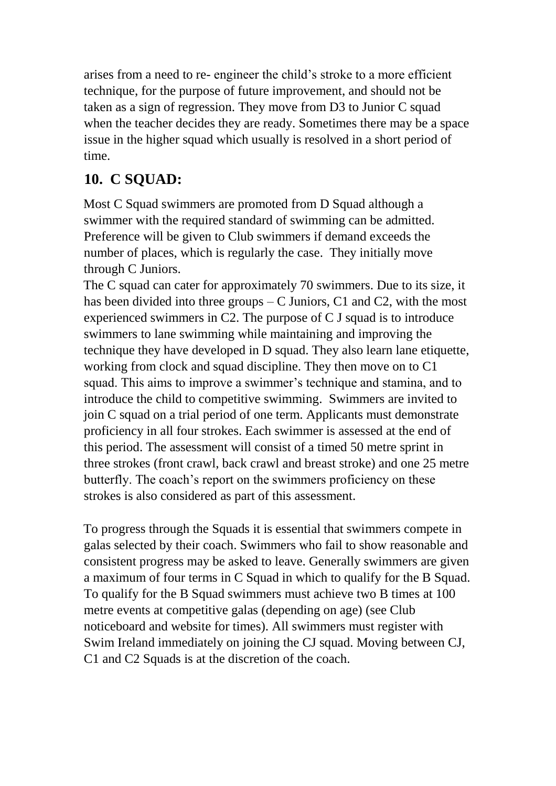arises from a need to re- engineer the child's stroke to a more efficient technique, for the purpose of future improvement, and should not be taken as a sign of regression. They move from D3 to Junior C squad when the teacher decides they are ready. Sometimes there may be a space issue in the higher squad which usually is resolved in a short period of time.

## **10. C SQUAD:**

Most C Squad swimmers are promoted from D Squad although a swimmer with the required standard of swimming can be admitted. Preference will be given to Club swimmers if demand exceeds the number of places, which is regularly the case. They initially move through C Juniors.

The C squad can cater for approximately 70 swimmers. Due to its size, it has been divided into three groups  $-C$  Juniors,  $C1$  and  $C2$ , with the most experienced swimmers in C2. The purpose of C J squad is to introduce swimmers to lane swimming while maintaining and improving the technique they have developed in D squad. They also learn lane etiquette, working from clock and squad discipline. They then move on to C1 squad. This aims to improve a swimmer's technique and stamina, and to introduce the child to competitive swimming. Swimmers are invited to join C squad on a trial period of one term. Applicants must demonstrate proficiency in all four strokes. Each swimmer is assessed at the end of this period. The assessment will consist of a timed 50 metre sprint in three strokes (front crawl, back crawl and breast stroke) and one 25 metre butterfly. The coach's report on the swimmers proficiency on these strokes is also considered as part of this assessment.

To progress through the Squads it is essential that swimmers compete in galas selected by their coach. Swimmers who fail to show reasonable and consistent progress may be asked to leave. Generally swimmers are given a maximum of four terms in C Squad in which to qualify for the B Squad. To qualify for the B Squad swimmers must achieve two B times at 100 metre events at competitive galas (depending on age) (see Club noticeboard and website for times). All swimmers must register with Swim Ireland immediately on joining the CJ squad. Moving between CJ, C1 and C2 Squads is at the discretion of the coach.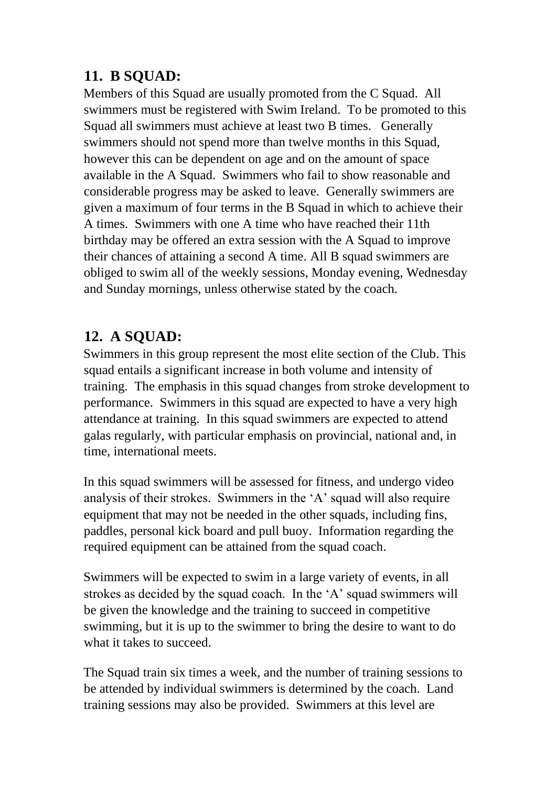### **11. B SQUAD:**

Members of this Squad are usually promoted from the C Squad. All swimmers must be registered with Swim Ireland. To be promoted to this Squad all swimmers must achieve at least two B times. Generally swimmers should not spend more than twelve months in this Squad, however this can be dependent on age and on the amount of space available in the A Squad. Swimmers who fail to show reasonable and considerable progress may be asked to leave. Generally swimmers are given a maximum of four terms in the B Squad in which to achieve their A times. Swimmers with one A time who have reached their 11th birthday may be offered an extra session with the A Squad to improve their chances of attaining a second A time. All B squad swimmers are obliged to swim all of the weekly sessions, Monday evening, Wednesday and Sunday mornings, unless otherwise stated by the coach.

### **12. A SQUAD:**

Swimmers in this group represent the most elite section of the Club. This squad entails a significant increase in both volume and intensity of training. The emphasis in this squad changes from stroke development to performance. Swimmers in this squad are expected to have a very high attendance at training. In this squad swimmers are expected to attend galas regularly, with particular emphasis on provincial, national and, in time, international meets.

In this squad swimmers will be assessed for fitness, and undergo video analysis of their strokes. Swimmers in the 'A' squad will also require equipment that may not be needed in the other squads, including fins, paddles, personal kick board and pull buoy. Information regarding the required equipment can be attained from the squad coach.

Swimmers will be expected to swim in a large variety of events, in all strokes as decided by the squad coach. In the 'A' squad swimmers will be given the knowledge and the training to succeed in competitive swimming, but it is up to the swimmer to bring the desire to want to do what it takes to succeed.

The Squad train six times a week, and the number of training sessions to be attended by individual swimmers is determined by the coach. Land training sessions may also be provided. Swimmers at this level are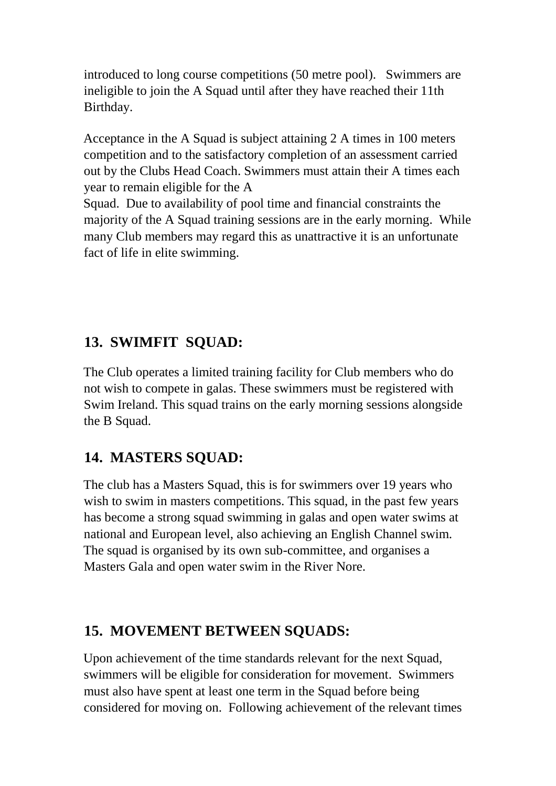introduced to long course competitions (50 metre pool). Swimmers are ineligible to join the A Squad until after they have reached their 11th Birthday.

Acceptance in the A Squad is subject attaining 2 A times in 100 meters competition and to the satisfactory completion of an assessment carried out by the Clubs Head Coach. Swimmers must attain their A times each year to remain eligible for the A

Squad. Due to availability of pool time and financial constraints the majority of the A Squad training sessions are in the early morning. While many Club members may regard this as unattractive it is an unfortunate fact of life in elite swimming.

### **13. SWIMFIT SQUAD:**

The Club operates a limited training facility for Club members who do not wish to compete in galas. These swimmers must be registered with Swim Ireland. This squad trains on the early morning sessions alongside the B Squad.

### **14. MASTERS SQUAD:**

The club has a Masters Squad, this is for swimmers over 19 years who wish to swim in masters competitions. This squad, in the past few years has become a strong squad swimming in galas and open water swims at national and European level, also achieving an English Channel swim. The squad is organised by its own sub-committee, and organises a Masters Gala and open water swim in the River Nore.

#### **15. MOVEMENT BETWEEN SQUADS:**

Upon achievement of the time standards relevant for the next Squad, swimmers will be eligible for consideration for movement. Swimmers must also have spent at least one term in the Squad before being considered for moving on. Following achievement of the relevant times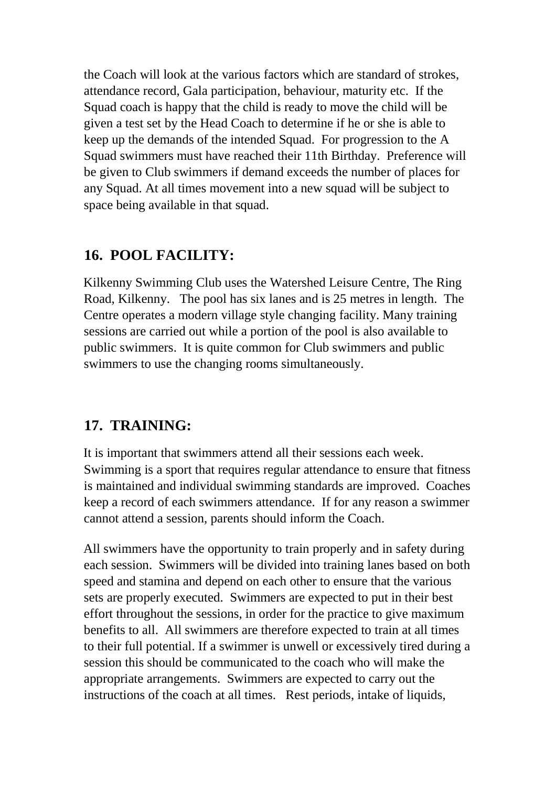the Coach will look at the various factors which are standard of strokes, attendance record, Gala participation, behaviour, maturity etc. If the Squad coach is happy that the child is ready to move the child will be given a test set by the Head Coach to determine if he or she is able to keep up the demands of the intended Squad. For progression to the A Squad swimmers must have reached their 11th Birthday. Preference will be given to Club swimmers if demand exceeds the number of places for any Squad. At all times movement into a new squad will be subject to space being available in that squad.

#### **16. POOL FACILITY:**

Kilkenny Swimming Club uses the Watershed Leisure Centre, The Ring Road, Kilkenny. The pool has six lanes and is 25 metres in length. The Centre operates a modern village style changing facility. Many training sessions are carried out while a portion of the pool is also available to public swimmers. It is quite common for Club swimmers and public swimmers to use the changing rooms simultaneously.

#### **17. TRAINING:**

It is important that swimmers attend all their sessions each week. Swimming is a sport that requires regular attendance to ensure that fitness is maintained and individual swimming standards are improved. Coaches keep a record of each swimmers attendance. If for any reason a swimmer cannot attend a session, parents should inform the Coach.

All swimmers have the opportunity to train properly and in safety during each session. Swimmers will be divided into training lanes based on both speed and stamina and depend on each other to ensure that the various sets are properly executed. Swimmers are expected to put in their best effort throughout the sessions, in order for the practice to give maximum benefits to all. All swimmers are therefore expected to train at all times to their full potential. If a swimmer is unwell or excessively tired during a session this should be communicated to the coach who will make the appropriate arrangements. Swimmers are expected to carry out the instructions of the coach at all times. Rest periods, intake of liquids,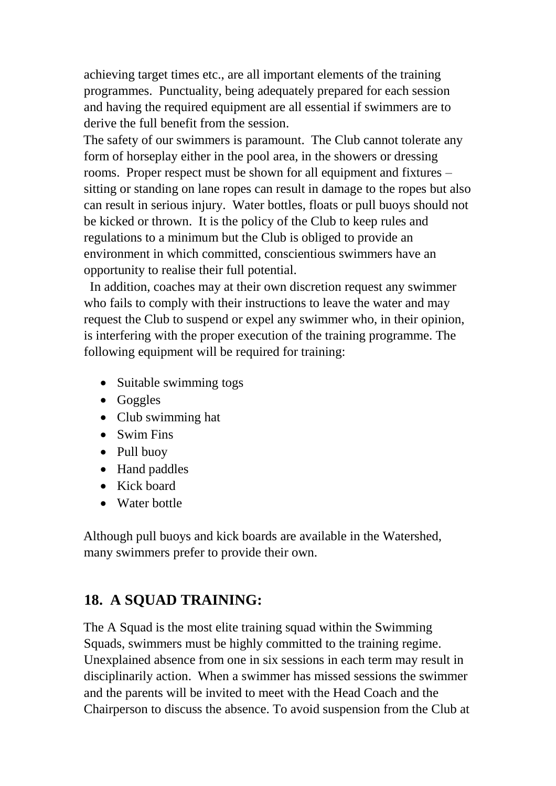achieving target times etc., are all important elements of the training programmes. Punctuality, being adequately prepared for each session and having the required equipment are all essential if swimmers are to derive the full benefit from the session.

The safety of our swimmers is paramount. The Club cannot tolerate any form of horseplay either in the pool area, in the showers or dressing rooms. Proper respect must be shown for all equipment and fixtures – sitting or standing on lane ropes can result in damage to the ropes but also can result in serious injury. Water bottles, floats or pull buoys should not be kicked or thrown. It is the policy of the Club to keep rules and regulations to a minimum but the Club is obliged to provide an environment in which committed, conscientious swimmers have an opportunity to realise their full potential.

 In addition, coaches may at their own discretion request any swimmer who fails to comply with their instructions to leave the water and may request the Club to suspend or expel any swimmer who, in their opinion, is interfering with the proper execution of the training programme. The following equipment will be required for training:

- Suitable swimming togs
- Goggles
- Club swimming hat
- Swim Fins
- Pull buoy
- Hand paddles
- Kick board
- Water bottle

Although pull buoys and kick boards are available in the Watershed, many swimmers prefer to provide their own.

### **18. A SQUAD TRAINING:**

The A Squad is the most elite training squad within the Swimming Squads, swimmers must be highly committed to the training regime. Unexplained absence from one in six sessions in each term may result in disciplinarily action. When a swimmer has missed sessions the swimmer and the parents will be invited to meet with the Head Coach and the Chairperson to discuss the absence. To avoid suspension from the Club at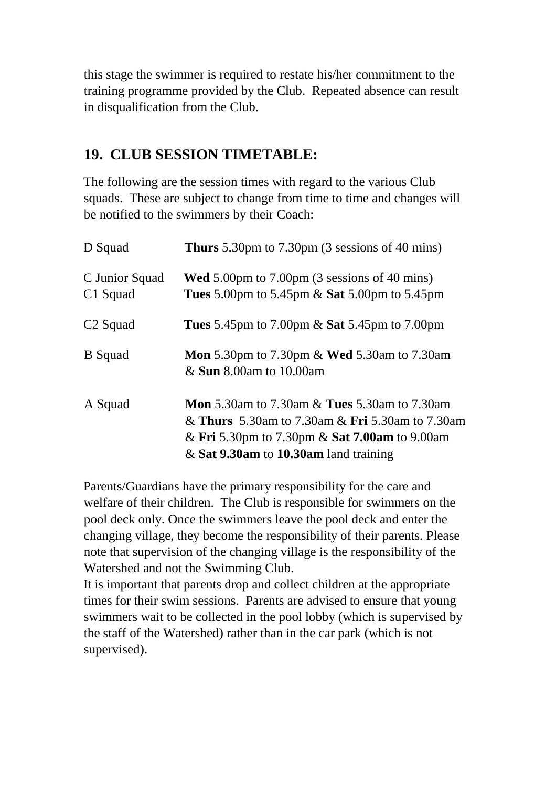this stage the swimmer is required to restate his/her commitment to the training programme provided by the Club. Repeated absence can result in disqualification from the Club.

#### **19. CLUB SESSION TIMETABLE:**

The following are the session times with regard to the various Club squads. These are subject to change from time to time and changes will be notified to the swimmers by their Coach:

| D Squad                    | <b>Thurs</b> 5.30pm to 7.30pm $(3$ sessions of 40 mins)                                                                                                                                                                     |
|----------------------------|-----------------------------------------------------------------------------------------------------------------------------------------------------------------------------------------------------------------------------|
| C Junior Squad<br>C1 Squad | <b>Wed</b> 5.00pm to 7.00pm (3 sessions of 40 mins)<br><b>Tues</b> 5.00pm to 5.45pm & <b>Sat</b> 5.00pm to 5.45pm                                                                                                           |
| C <sub>2</sub> Squad       | <b>Tues</b> 5.45pm to 7.00pm $\&$ <b>Sat</b> 5.45pm to 7.00pm                                                                                                                                                               |
| <b>B</b> Squad             | <b>Mon</b> 5.30pm to 7.30pm & <b>Wed</b> 5.30am to 7.30am<br>& <b>Sun</b> 8.00am to 10.00am                                                                                                                                 |
| A Squad                    | <b>Mon</b> 5.30am to 7.30am $\&$ <b>Tues</b> 5.30am to 7.30am<br>& <b>Thurs</b> 5.30am to 7.30am & <b>Fri</b> 5.30am to 7.30am<br>& Fri 5.30pm to 7.30pm & Sat 7.00am to 9.00am<br>$\&$ Sat 9.30am to 10.30am land training |

Parents/Guardians have the primary responsibility for the care and welfare of their children. The Club is responsible for swimmers on the pool deck only. Once the swimmers leave the pool deck and enter the changing village, they become the responsibility of their parents. Please note that supervision of the changing village is the responsibility of the Watershed and not the Swimming Club.

It is important that parents drop and collect children at the appropriate times for their swim sessions. Parents are advised to ensure that young swimmers wait to be collected in the pool lobby (which is supervised by the staff of the Watershed) rather than in the car park (which is not supervised).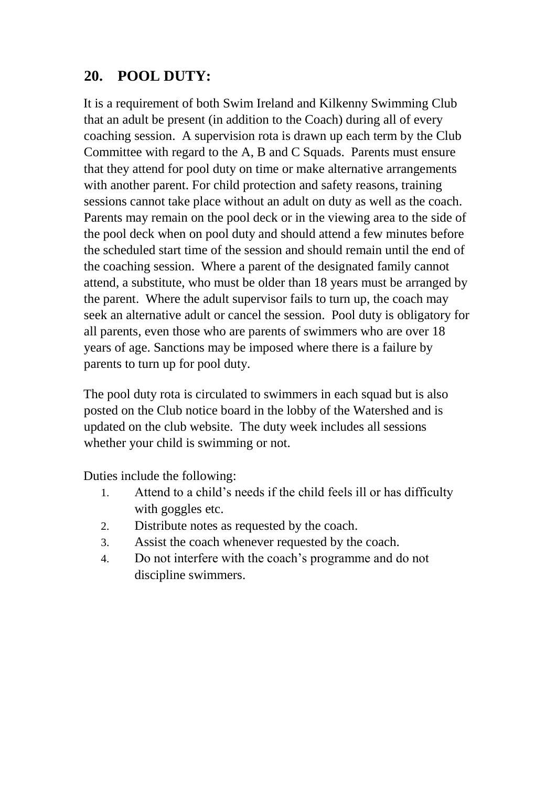### **20. POOL DUTY:**

It is a requirement of both Swim Ireland and Kilkenny Swimming Club that an adult be present (in addition to the Coach) during all of every coaching session. A supervision rota is drawn up each term by the Club Committee with regard to the A, B and C Squads. Parents must ensure that they attend for pool duty on time or make alternative arrangements with another parent. For child protection and safety reasons, training sessions cannot take place without an adult on duty as well as the coach. Parents may remain on the pool deck or in the viewing area to the side of the pool deck when on pool duty and should attend a few minutes before the scheduled start time of the session and should remain until the end of the coaching session. Where a parent of the designated family cannot attend, a substitute, who must be older than 18 years must be arranged by the parent. Where the adult supervisor fails to turn up, the coach may seek an alternative adult or cancel the session. Pool duty is obligatory for all parents, even those who are parents of swimmers who are over 18 years of age. Sanctions may be imposed where there is a failure by parents to turn up for pool duty.

The pool duty rota is circulated to swimmers in each squad but is also posted on the Club notice board in the lobby of the Watershed and is updated on the club website. The duty week includes all sessions whether your child is swimming or not.

Duties include the following:

- 1. Attend to a child's needs if the child feels ill or has difficulty with goggles etc.
- 2. Distribute notes as requested by the coach.
- 3. Assist the coach whenever requested by the coach.
- 4. Do not interfere with the coach's programme and do not discipline swimmers.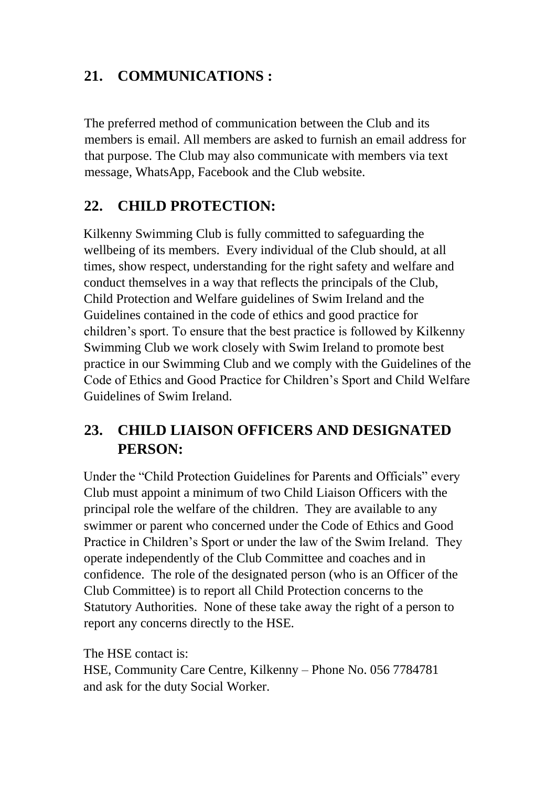### **21. COMMUNICATIONS :**

The preferred method of communication between the Club and its members is email. All members are asked to furnish an email address for that purpose. The Club may also communicate with members via text message, WhatsApp, Facebook and the Club website.

### **22. CHILD PROTECTION:**

Kilkenny Swimming Club is fully committed to safeguarding the wellbeing of its members. Every individual of the Club should, at all times, show respect, understanding for the right safety and welfare and conduct themselves in a way that reflects the principals of the Club, Child Protection and Welfare guidelines of Swim Ireland and the Guidelines contained in the code of ethics and good practice for children's sport. To ensure that the best practice is followed by Kilkenny Swimming Club we work closely with Swim Ireland to promote best practice in our Swimming Club and we comply with the Guidelines of the Code of Ethics and Good Practice for Children's Sport and Child Welfare Guidelines of Swim Ireland.

### **23. CHILD LIAISON OFFICERS AND DESIGNATED PERSON:**

Under the "Child Protection Guidelines for Parents and Officials" every Club must appoint a minimum of two Child Liaison Officers with the principal role the welfare of the children. They are available to any swimmer or parent who concerned under the Code of Ethics and Good Practice in Children's Sport or under the law of the Swim Ireland. They operate independently of the Club Committee and coaches and in confidence. The role of the designated person (who is an Officer of the Club Committee) is to report all Child Protection concerns to the Statutory Authorities. None of these take away the right of a person to report any concerns directly to the HSE.

The HSE contact is: HSE, Community Care Centre, Kilkenny – Phone No. 056 7784781 and ask for the duty Social Worker.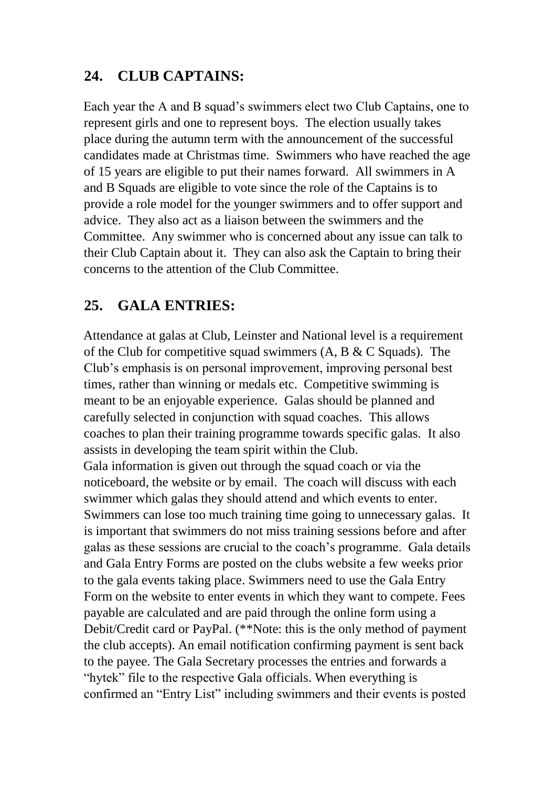### **24. CLUB CAPTAINS:**

Each year the A and B squad's swimmers elect two Club Captains, one to represent girls and one to represent boys. The election usually takes place during the autumn term with the announcement of the successful candidates made at Christmas time. Swimmers who have reached the age of 15 years are eligible to put their names forward. All swimmers in A and B Squads are eligible to vote since the role of the Captains is to provide a role model for the younger swimmers and to offer support and advice. They also act as a liaison between the swimmers and the Committee. Any swimmer who is concerned about any issue can talk to their Club Captain about it. They can also ask the Captain to bring their concerns to the attention of the Club Committee.

### **25. GALA ENTRIES:**

Attendance at galas at Club, Leinster and National level is a requirement of the Club for competitive squad swimmers  $(A, B \& C \text{ Squads})$ . The Club's emphasis is on personal improvement, improving personal best times, rather than winning or medals etc. Competitive swimming is meant to be an enjoyable experience. Galas should be planned and carefully selected in conjunction with squad coaches. This allows coaches to plan their training programme towards specific galas. It also assists in developing the team spirit within the Club. Gala information is given out through the squad coach or via the noticeboard, the website or by email. The coach will discuss with each swimmer which galas they should attend and which events to enter. Swimmers can lose too much training time going to unnecessary galas. It is important that swimmers do not miss training sessions before and after galas as these sessions are crucial to the coach's programme. Gala details and Gala Entry Forms are posted on the clubs website a few weeks prior to the gala events taking place. Swimmers need to use the Gala Entry Form on the website to enter events in which they want to compete. Fees payable are calculated and are paid through the online form using a Debit/Credit card or PayPal. (\*\*Note: this is the only method of payment the club accepts). An email notification confirming payment is sent back to the payee. The Gala Secretary processes the entries and forwards a "hytek" file to the respective Gala officials. When everything is confirmed an "Entry List" including swimmers and their events is posted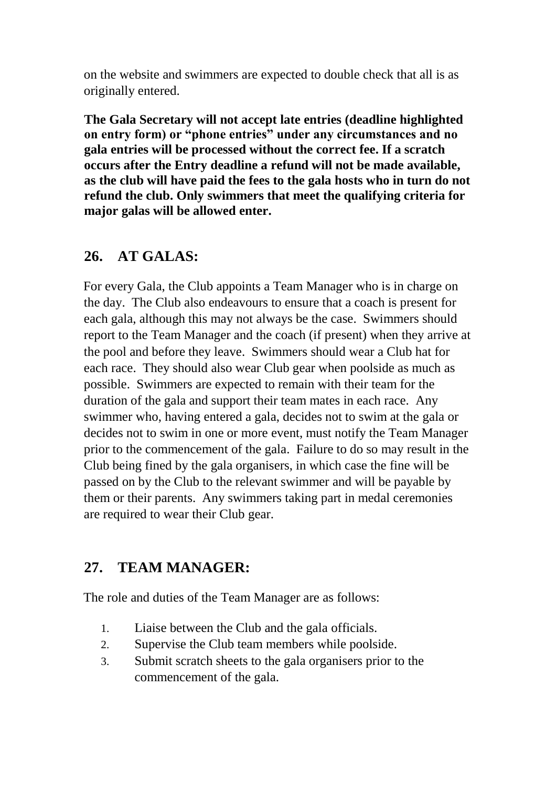on the website and swimmers are expected to double check that all is as originally entered.

**The Gala Secretary will not accept late entries (deadline highlighted on entry form) or "phone entries" under any circumstances and no gala entries will be processed without the correct fee. If a scratch occurs after the Entry deadline a refund will not be made available, as the club will have paid the fees to the gala hosts who in turn do not refund the club. Only swimmers that meet the qualifying criteria for major galas will be allowed enter.**

#### **26. AT GALAS:**

For every Gala, the Club appoints a Team Manager who is in charge on the day. The Club also endeavours to ensure that a coach is present for each gala, although this may not always be the case. Swimmers should report to the Team Manager and the coach (if present) when they arrive at the pool and before they leave. Swimmers should wear a Club hat for each race. They should also wear Club gear when poolside as much as possible. Swimmers are expected to remain with their team for the duration of the gala and support their team mates in each race. Any swimmer who, having entered a gala, decides not to swim at the gala or decides not to swim in one or more event, must notify the Team Manager prior to the commencement of the gala. Failure to do so may result in the Club being fined by the gala organisers, in which case the fine will be passed on by the Club to the relevant swimmer and will be payable by them or their parents. Any swimmers taking part in medal ceremonies are required to wear their Club gear.

### **27. TEAM MANAGER:**

The role and duties of the Team Manager are as follows:

- 1. Liaise between the Club and the gala officials.
- 2. Supervise the Club team members while poolside.
- 3. Submit scratch sheets to the gala organisers prior to the commencement of the gala.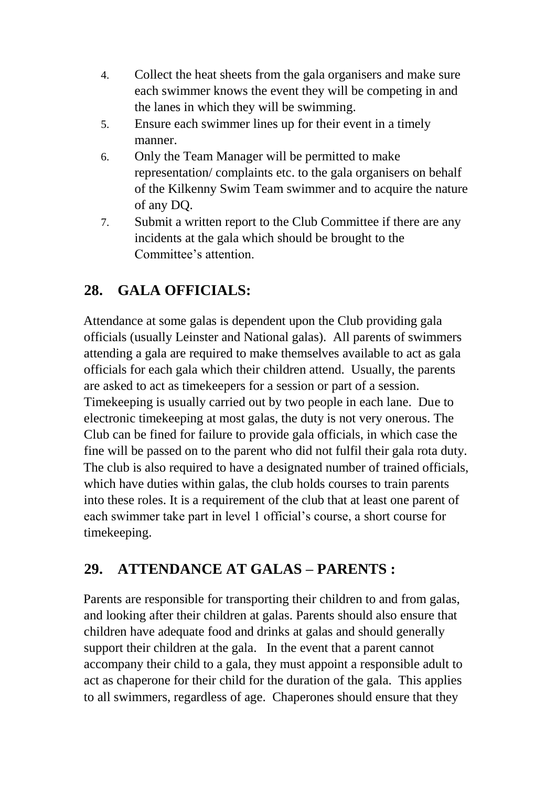- 4. Collect the heat sheets from the gala organisers and make sure each swimmer knows the event they will be competing in and the lanes in which they will be swimming.
- 5. Ensure each swimmer lines up for their event in a timely manner.
- 6. Only the Team Manager will be permitted to make representation/ complaints etc. to the gala organisers on behalf of the Kilkenny Swim Team swimmer and to acquire the nature of any DQ.
- 7. Submit a written report to the Club Committee if there are any incidents at the gala which should be brought to the Committee's attention.

## **28. GALA OFFICIALS:**

Attendance at some galas is dependent upon the Club providing gala officials (usually Leinster and National galas). All parents of swimmers attending a gala are required to make themselves available to act as gala officials for each gala which their children attend. Usually, the parents are asked to act as timekeepers for a session or part of a session. Timekeeping is usually carried out by two people in each lane. Due to electronic timekeeping at most galas, the duty is not very onerous. The Club can be fined for failure to provide gala officials, in which case the fine will be passed on to the parent who did not fulfil their gala rota duty. The club is also required to have a designated number of trained officials, which have duties within galas, the club holds courses to train parents into these roles. It is a requirement of the club that at least one parent of each swimmer take part in level 1 official's course, a short course for timekeeping.

### **29. ATTENDANCE AT GALAS – PARENTS :**

Parents are responsible for transporting their children to and from galas, and looking after their children at galas. Parents should also ensure that children have adequate food and drinks at galas and should generally support their children at the gala. In the event that a parent cannot accompany their child to a gala, they must appoint a responsible adult to act as chaperone for their child for the duration of the gala. This applies to all swimmers, regardless of age. Chaperones should ensure that they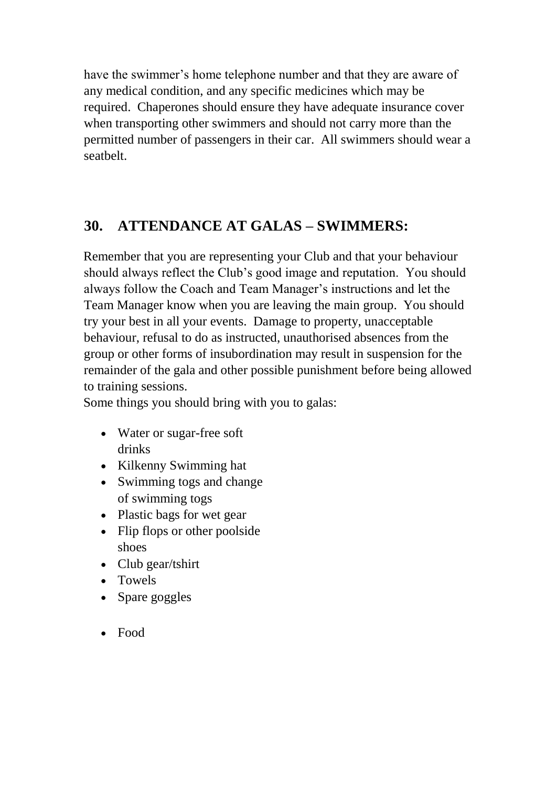have the swimmer's home telephone number and that they are aware of any medical condition, and any specific medicines which may be required. Chaperones should ensure they have adequate insurance cover when transporting other swimmers and should not carry more than the permitted number of passengers in their car. All swimmers should wear a seatbelt.

## **30. ATTENDANCE AT GALAS – SWIMMERS:**

Remember that you are representing your Club and that your behaviour should always reflect the Club's good image and reputation. You should always follow the Coach and Team Manager's instructions and let the Team Manager know when you are leaving the main group. You should try your best in all your events. Damage to property, unacceptable behaviour, refusal to do as instructed, unauthorised absences from the group or other forms of insubordination may result in suspension for the remainder of the gala and other possible punishment before being allowed to training sessions.

Some things you should bring with you to galas:

- Water or sugar-free soft drinks
- Kilkenny Swimming hat
- Swimming togs and change of swimming togs
- Plastic bags for wet gear
- Flip flops or other poolside shoes
- Club gear/tshirt
- Towels
- Spare goggles
- Food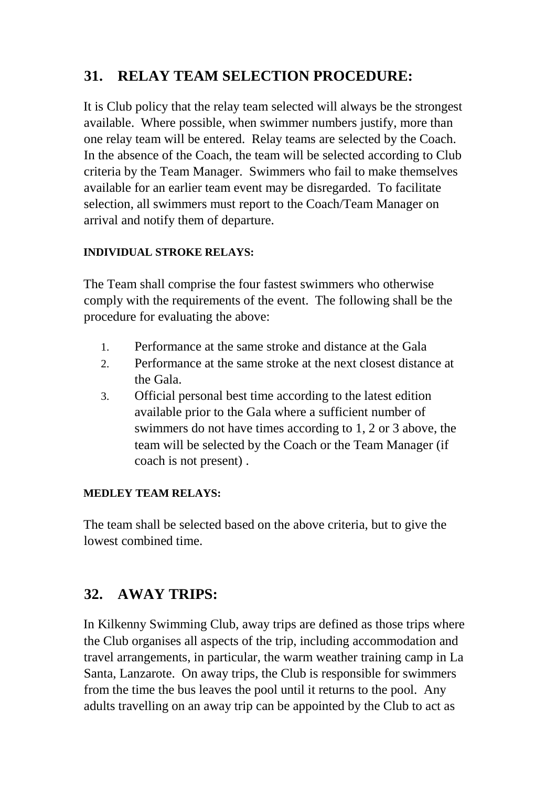### **31. RELAY TEAM SELECTION PROCEDURE:**

It is Club policy that the relay team selected will always be the strongest available. Where possible, when swimmer numbers justify, more than one relay team will be entered. Relay teams are selected by the Coach. In the absence of the Coach, the team will be selected according to Club criteria by the Team Manager. Swimmers who fail to make themselves available for an earlier team event may be disregarded. To facilitate selection, all swimmers must report to the Coach/Team Manager on arrival and notify them of departure.

#### **INDIVIDUAL STROKE RELAYS:**

The Team shall comprise the four fastest swimmers who otherwise comply with the requirements of the event. The following shall be the procedure for evaluating the above:

- 1. Performance at the same stroke and distance at the Gala
- 2. Performance at the same stroke at the next closest distance at the Gala.
- 3. Official personal best time according to the latest edition available prior to the Gala where a sufficient number of swimmers do not have times according to 1, 2 or 3 above, the team will be selected by the Coach or the Team Manager (if coach is not present) .

#### **MEDLEY TEAM RELAYS:**

The team shall be selected based on the above criteria, but to give the lowest combined time.

## **32. AWAY TRIPS:**

In Kilkenny Swimming Club, away trips are defined as those trips where the Club organises all aspects of the trip, including accommodation and travel arrangements, in particular, the warm weather training camp in La Santa, Lanzarote. On away trips, the Club is responsible for swimmers from the time the bus leaves the pool until it returns to the pool. Any adults travelling on an away trip can be appointed by the Club to act as